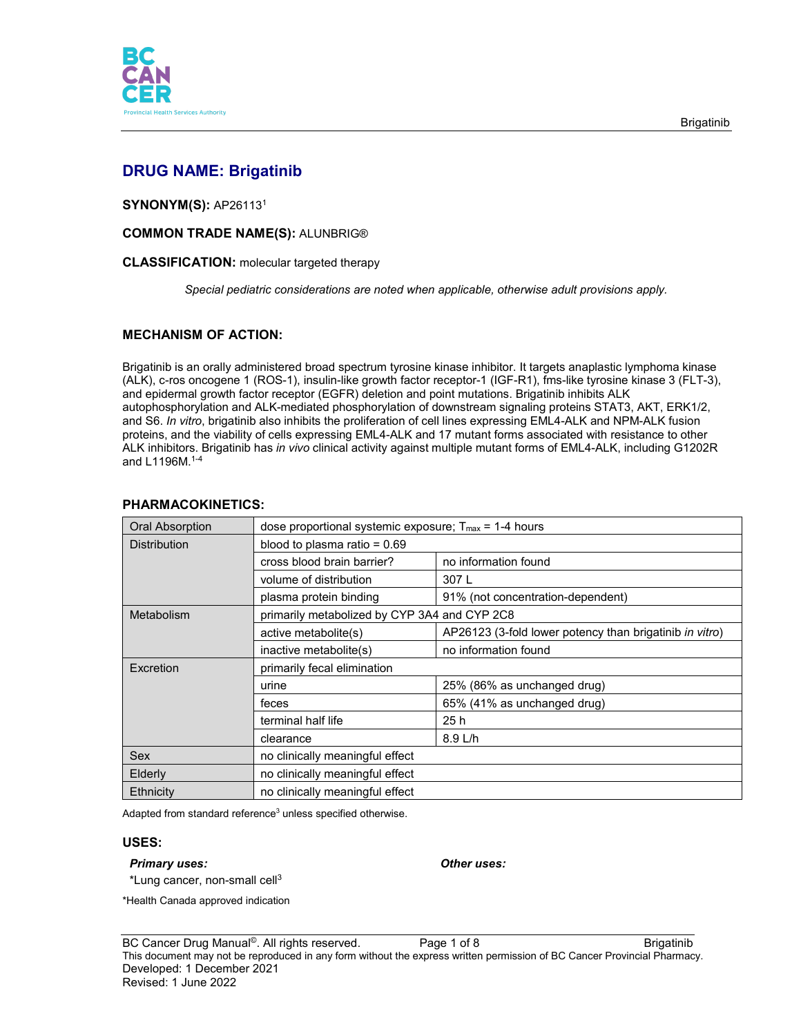

# **DRUG NAME: Brigatinib**

**SYNONYM(S):** AP261131

**COMMON TRADE NAME(S):** ALUNBRIG®

### **CLASSIFICATION:** molecular targeted therapy

*Special pediatric considerations are noted when applicable, otherwise adult provisions apply.*

# **MECHANISM OF ACTION:**

Brigatinib is an orally administered broad spectrum tyrosine kinase inhibitor. It targets anaplastic lymphoma kinase (ALK), c-ros oncogene 1 (ROS-1), insulin-like growth factor receptor-1 (IGF-R1), fms-like tyrosine kinase 3 (FLT-3), and epidermal growth factor receptor (EGFR) deletion and point mutations. Brigatinib inhibits ALK autophosphorylation and ALK-mediated phosphorylation of downstream signaling proteins STAT3, AKT, ERK1/2, and S6. *In vitro*, brigatinib also inhibits the proliferation of cell lines expressing EML4-ALK and NPM-ALK fusion proteins, and the viability of cells expressing EML4-ALK and 17 mutant forms associated with resistance to other ALK inhibitors. Brigatinib has *in vivo* clinical activity against multiple mutant forms of EML4-ALK, including G1202R and L1196M. 1-4

| <b>Oral Absorption</b> | dose proportional systemic exposure; $T_{\text{max}}$ = 1-4 hours |                                                         |  |
|------------------------|-------------------------------------------------------------------|---------------------------------------------------------|--|
| <b>Distribution</b>    | blood to plasma ratio = $0.69$                                    |                                                         |  |
|                        | cross blood brain barrier?                                        | no information found                                    |  |
|                        | volume of distribution                                            | 307L                                                    |  |
|                        | plasma protein binding                                            | 91% (not concentration-dependent)                       |  |
| Metabolism             | primarily metabolized by CYP 3A4 and CYP 2C8                      |                                                         |  |
|                        | active metabolite(s)                                              | AP26123 (3-fold lower potency than brigatinib in vitro) |  |
|                        | inactive metabolite(s)                                            | no information found                                    |  |
| <b>Fxcretion</b>       | primarily fecal elimination                                       |                                                         |  |
|                        | urine                                                             | 25% (86% as unchanged drug)                             |  |
|                        | feces                                                             | 65% (41% as unchanged drug)                             |  |
|                        | terminal half life                                                | 25h                                                     |  |
|                        | clearance                                                         | 8.9 L/h                                                 |  |
| Sex                    | no clinically meaningful effect                                   |                                                         |  |
| Elderly                | no clinically meaningful effect                                   |                                                         |  |
| Ethnicity              | no clinically meaningful effect                                   |                                                         |  |

# **PHARMACOKINETICS:**

Adapted from standard reference<sup>3</sup> unless specified otherwise.

### **USES:**

#### *Primary uses: Other uses:*

 $*$ Lung cancer, non-small cell $3$ 

\*Health Canada approved indication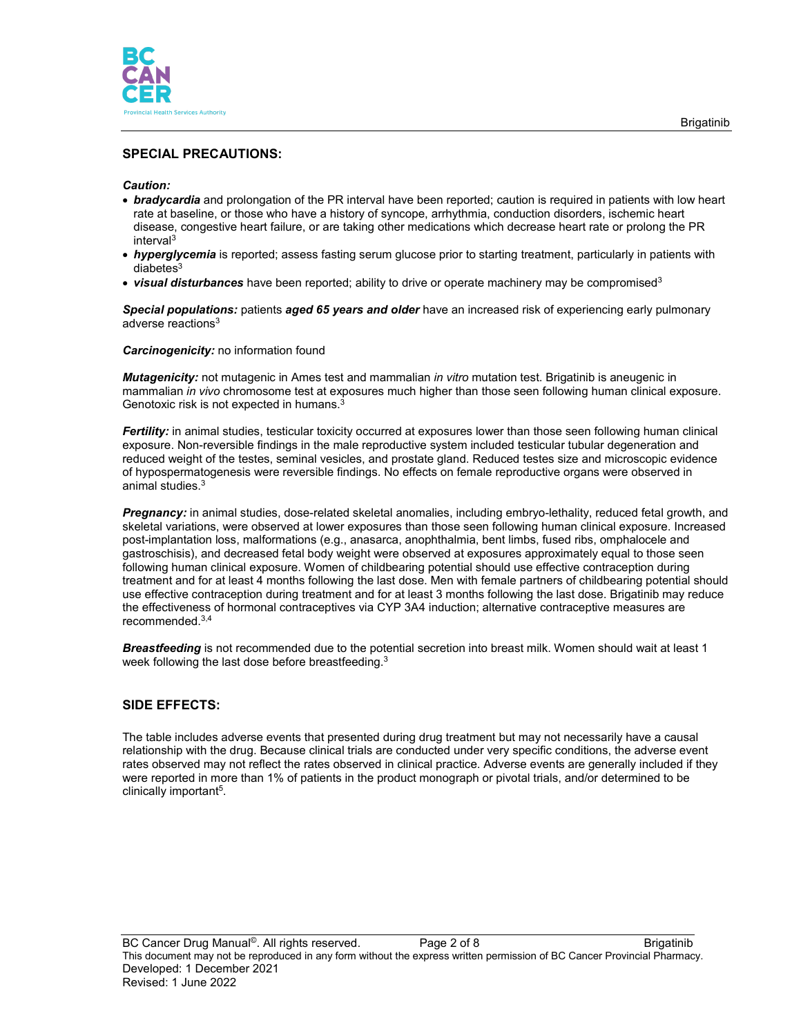

# **SPECIAL PRECAUTIONS:**

#### *Caution:*

- *bradycardia* and prolongation of the PR interval have been reported; caution is required in patients with low heart rate at baseline, or those who have a history of syncope, arrhythmia, conduction disorders, ischemic heart disease, congestive heart failure, or are taking other medications which decrease heart rate or prolong the PR interval3
- *hyperglycemia* is reported; assess fasting serum glucose prior to starting treatment, particularly in patients with  $diabetes<sup>3</sup>$
- *visual disturbances* have been reported; ability to drive or operate machinery may be compromised3

*Special populations:* patients *aged 65 years and older* have an increased risk of experiencing early pulmonary adverse reactions<sup>3</sup>

*Carcinogenicity:* no information found

*Mutagenicity:* not mutagenic in Ames test and mammalian *in vitro* mutation test. Brigatinib is aneugenic in mammalian *in vivo* chromosome test at exposures much higher than those seen following human clinical exposure. Genotoxic risk is not expected in humans.3

*Fertility:* in animal studies, testicular toxicity occurred at exposures lower than those seen following human clinical exposure. Non-reversible findings in the male reproductive system included testicular tubular degeneration and reduced weight of the testes, seminal vesicles, and prostate gland. Reduced testes size and microscopic evidence of hypospermatogenesis were reversible findings. No effects on female reproductive organs were observed in animal studies. 3

*Pregnancy:* in animal studies, dose-related skeletal anomalies, including embryo-lethality, reduced fetal growth, and skeletal variations, were observed at lower exposures than those seen following human clinical exposure. Increased post-implantation loss, malformations (e.g., anasarca, anophthalmia, bent limbs, fused ribs, omphalocele and gastroschisis), and decreased fetal body weight were observed at exposures approximately equal to those seen following human clinical exposure. Women of childbearing potential should use effective contraception during treatment and for at least 4 months following the last dose. Men with female partners of childbearing potential should use effective contraception during treatment and for at least 3 months following the last dose. Brigatinib may reduce the effectiveness of hormonal contraceptives via CYP 3A4 induction; alternative contraceptive measures are recommended.3,4

*Breastfeeding* is not recommended due to the potential secretion into breast milk. Women should wait at least 1 week following the last dose before breastfeeding.<sup>3</sup>

# **SIDE EFFECTS:**

The table includes adverse events that presented during drug treatment but may not necessarily have a causal relationship with the drug. Because clinical trials are conducted under very specific conditions, the adverse event rates observed may not reflect the rates observed in clinical practice. Adverse events are generally included if they were reported in more than 1% of patients in the product monograph or pivotal trials, and/or determined to be clinically important5.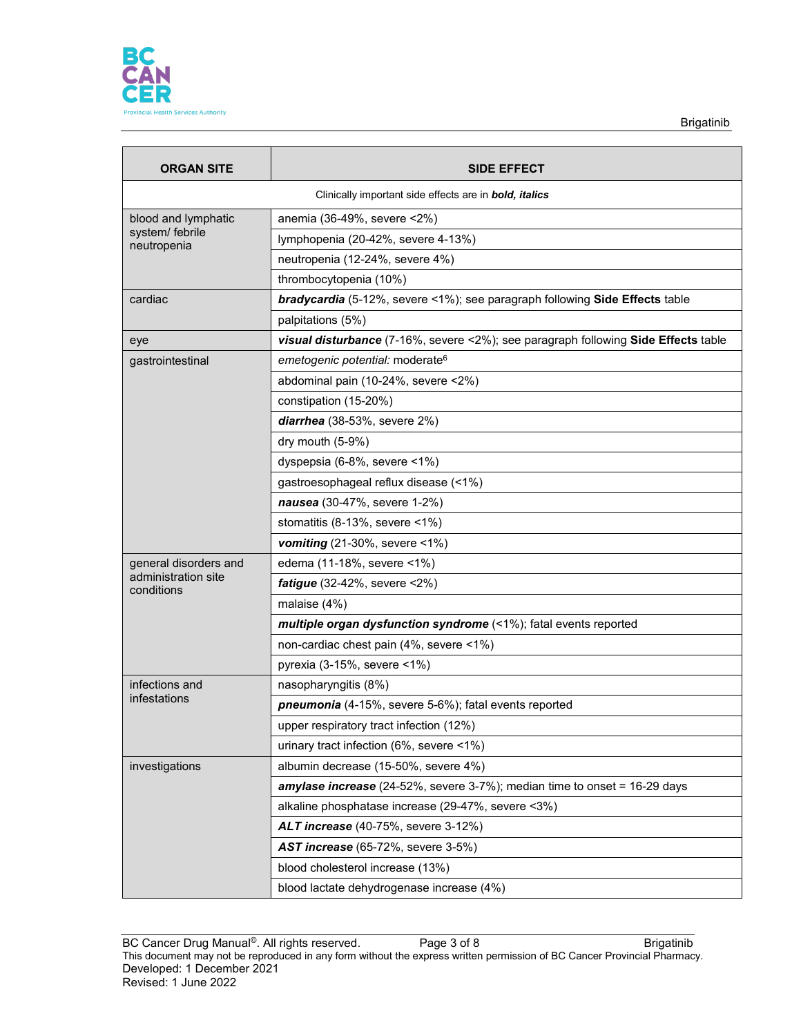

Brigatinib

| <b>ORGAN SITE</b>                                             | <b>SIDE EFFECT</b>                                                                 |  |  |  |
|---------------------------------------------------------------|------------------------------------------------------------------------------------|--|--|--|
| Clinically important side effects are in <b>bold, italics</b> |                                                                                    |  |  |  |
| blood and lymphatic                                           | anemia (36-49%, severe <2%)                                                        |  |  |  |
| system/ febrile<br>neutropenia                                | lymphopenia (20-42%, severe 4-13%)                                                 |  |  |  |
|                                                               | neutropenia (12-24%, severe 4%)                                                    |  |  |  |
|                                                               | thrombocytopenia (10%)                                                             |  |  |  |
| cardiac                                                       | bradycardia (5-12%, severe <1%); see paragraph following Side Effects table        |  |  |  |
|                                                               | palpitations (5%)                                                                  |  |  |  |
| eye                                                           | visual disturbance (7-16%, severe <2%); see paragraph following Side Effects table |  |  |  |
| gastrointestinal                                              | emetogenic potential: moderate <sup>6</sup>                                        |  |  |  |
|                                                               | abdominal pain (10-24%, severe <2%)                                                |  |  |  |
|                                                               | constipation (15-20%)                                                              |  |  |  |
|                                                               | diarrhea (38-53%, severe 2%)                                                       |  |  |  |
|                                                               | dry mouth (5-9%)                                                                   |  |  |  |
|                                                               | dyspepsia (6-8%, severe <1%)                                                       |  |  |  |
|                                                               | gastroesophageal reflux disease (<1%)                                              |  |  |  |
|                                                               | nausea (30-47%, severe 1-2%)                                                       |  |  |  |
|                                                               | stomatitis (8-13%, severe <1%)                                                     |  |  |  |
|                                                               | vomiting $(21-30\% ,$ severe <1%)                                                  |  |  |  |
| general disorders and                                         | edema (11-18%, severe <1%)                                                         |  |  |  |
| administration site<br>conditions                             | <b>fatigue</b> (32-42%, severe $<2\%$ )                                            |  |  |  |
|                                                               | malaise (4%)                                                                       |  |  |  |
|                                                               | multiple organ dysfunction syndrome (<1%); fatal events reported                   |  |  |  |
|                                                               | non-cardiac chest pain (4%, severe <1%)                                            |  |  |  |
|                                                               | pyrexia (3-15%, severe <1%)                                                        |  |  |  |
| infections and                                                | nasopharyngitis (8%)                                                               |  |  |  |
| infestations                                                  | pneumonia (4-15%, severe 5-6%); fatal events reported                              |  |  |  |
|                                                               | upper respiratory tract infection (12%)                                            |  |  |  |
|                                                               | urinary tract infection (6%, severe <1%)                                           |  |  |  |
| investigations                                                | albumin decrease (15-50%, severe 4%)                                               |  |  |  |
|                                                               | amylase increase (24-52%, severe 3-7%); median time to onset = 16-29 days          |  |  |  |
|                                                               | alkaline phosphatase increase (29-47%, severe <3%)                                 |  |  |  |
|                                                               | <b>ALT increase</b> (40-75%, severe 3-12%)                                         |  |  |  |
|                                                               | <b>AST increase</b> (65-72%, severe 3-5%)                                          |  |  |  |
|                                                               | blood cholesterol increase (13%)                                                   |  |  |  |
|                                                               | blood lactate dehydrogenase increase (4%)                                          |  |  |  |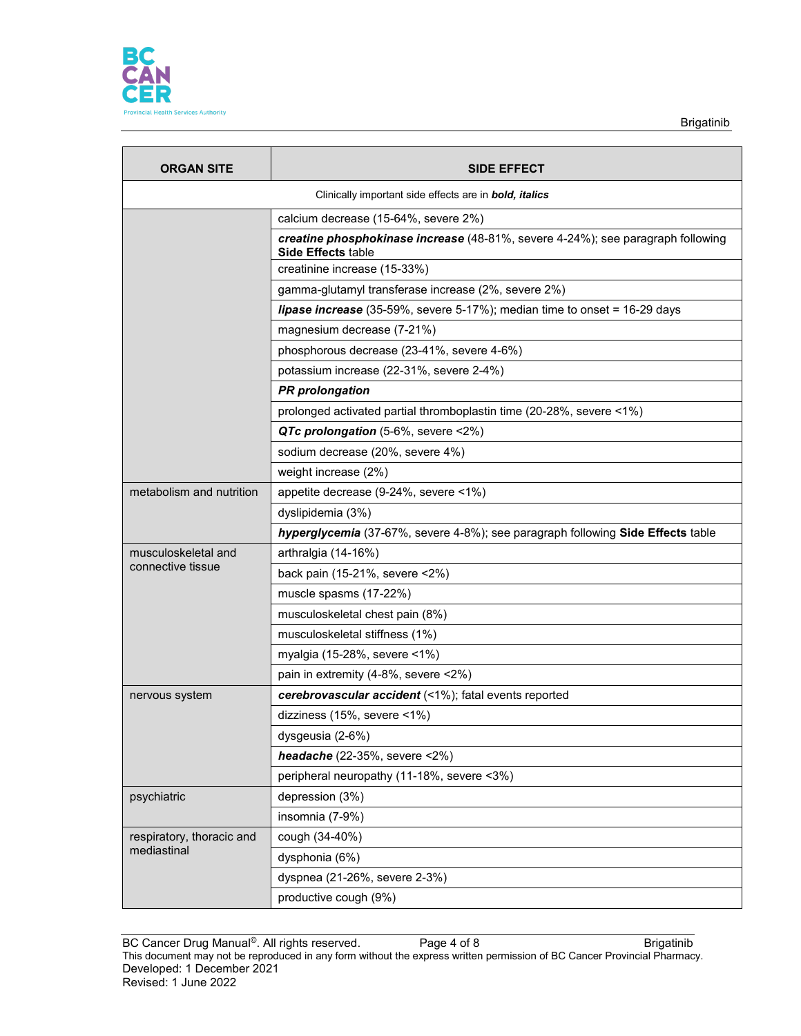

| <b>ORGAN SITE</b>                                                     | <b>SIDE EFFECT</b>                                                                                           |  |  |  |
|-----------------------------------------------------------------------|--------------------------------------------------------------------------------------------------------------|--|--|--|
| Clinically important side effects are in <b>bold</b> , <i>italics</i> |                                                                                                              |  |  |  |
|                                                                       | calcium decrease (15-64%, severe 2%)                                                                         |  |  |  |
|                                                                       | creatine phosphokinase increase (48-81%, severe 4-24%); see paragraph following<br><b>Side Effects table</b> |  |  |  |
|                                                                       | creatinine increase (15-33%)                                                                                 |  |  |  |
|                                                                       | gamma-glutamyl transferase increase (2%, severe 2%)                                                          |  |  |  |
|                                                                       | lipase increase (35-59%, severe 5-17%); median time to onset = 16-29 days                                    |  |  |  |
|                                                                       | magnesium decrease (7-21%)                                                                                   |  |  |  |
|                                                                       | phosphorous decrease (23-41%, severe 4-6%)                                                                   |  |  |  |
|                                                                       | potassium increase (22-31%, severe 2-4%)                                                                     |  |  |  |
|                                                                       | <b>PR</b> prolongation                                                                                       |  |  |  |
|                                                                       | prolonged activated partial thromboplastin time (20-28%, severe <1%)                                         |  |  |  |
|                                                                       | QTc prolongation (5-6%, severe <2%)                                                                          |  |  |  |
|                                                                       | sodium decrease (20%, severe 4%)                                                                             |  |  |  |
|                                                                       | weight increase (2%)                                                                                         |  |  |  |
| metabolism and nutrition                                              | appetite decrease (9-24%, severe <1%)                                                                        |  |  |  |
|                                                                       | dyslipidemia (3%)                                                                                            |  |  |  |
|                                                                       | hyperglycemia (37-67%, severe 4-8%); see paragraph following Side Effects table                              |  |  |  |
| musculoskeletal and                                                   | arthralgia (14-16%)                                                                                          |  |  |  |
| connective tissue                                                     | back pain (15-21%, severe <2%)                                                                               |  |  |  |
|                                                                       | muscle spasms (17-22%)                                                                                       |  |  |  |
|                                                                       | musculoskeletal chest pain (8%)                                                                              |  |  |  |
|                                                                       | musculoskeletal stiffness (1%)                                                                               |  |  |  |
|                                                                       | myalgia (15-28%, severe <1%)                                                                                 |  |  |  |
|                                                                       | pain in extremity (4-8%, severe <2%)                                                                         |  |  |  |
| nervous system                                                        | cerebrovascular accident (<1%); fatal events reported                                                        |  |  |  |
|                                                                       | dizziness (15%, severe <1%)                                                                                  |  |  |  |
|                                                                       | dysgeusia (2-6%)                                                                                             |  |  |  |
|                                                                       | headache (22-35%, severe $\langle 2\% \rangle$                                                               |  |  |  |
|                                                                       | peripheral neuropathy (11-18%, severe <3%)                                                                   |  |  |  |
| psychiatric                                                           | depression (3%)                                                                                              |  |  |  |
|                                                                       | insomnia (7-9%)                                                                                              |  |  |  |
| respiratory, thoracic and                                             | cough (34-40%)                                                                                               |  |  |  |
| mediastinal                                                           | dysphonia (6%)                                                                                               |  |  |  |
|                                                                       | dyspnea (21-26%, severe 2-3%)                                                                                |  |  |  |
|                                                                       | productive cough (9%)                                                                                        |  |  |  |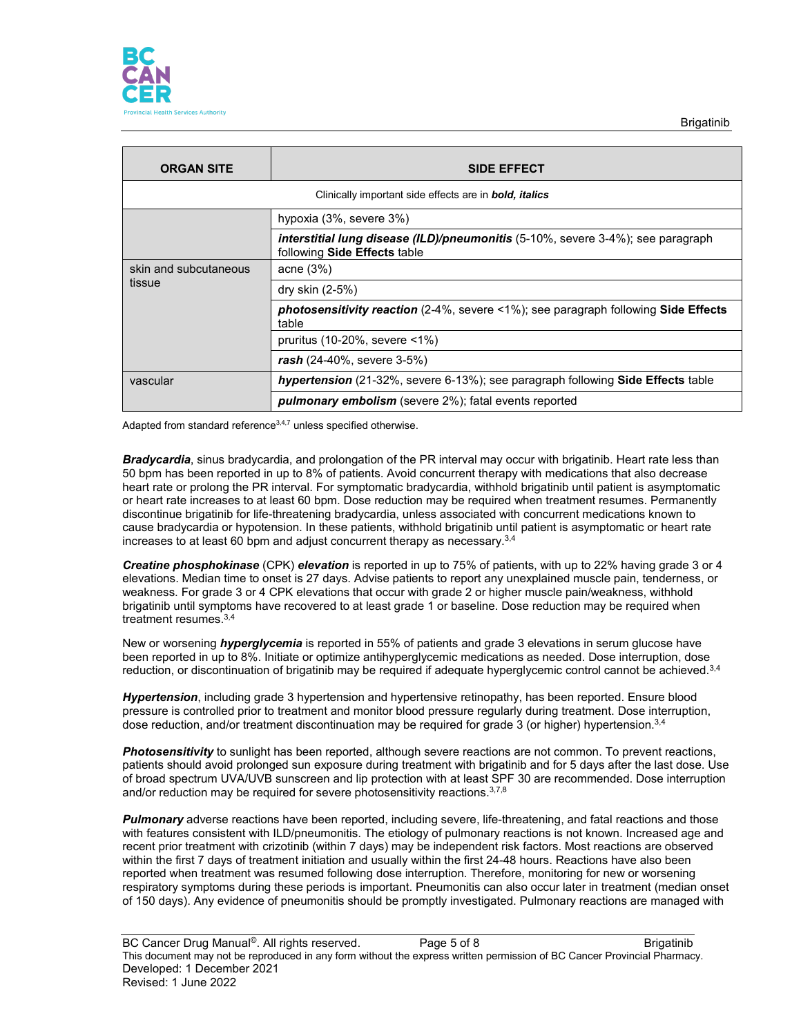

| <b>ORGAN SITE</b>                                             | <b>SIDE EFFECT</b>                                                                                              |  |  |
|---------------------------------------------------------------|-----------------------------------------------------------------------------------------------------------------|--|--|
| Clinically important side effects are in <b>bold, italics</b> |                                                                                                                 |  |  |
|                                                               | hypoxia (3%, severe 3%)                                                                                         |  |  |
|                                                               | interstitial lung disease (ILD)/pneumonitis (5-10%, severe 3-4%); see paragraph<br>following Side Effects table |  |  |
| skin and subcutaneous<br>tissue                               | acne $(3%)$                                                                                                     |  |  |
|                                                               | dry skin (2-5%)                                                                                                 |  |  |
|                                                               | <b>photosensitivity reaction</b> (2-4%, severe <1%); see paragraph following <b>Side Effects</b><br>table       |  |  |
|                                                               | pruritus (10-20%, severe <1%)                                                                                   |  |  |
|                                                               | $\mathsf{rash}\ (24-40\% \, \text{severe}\ 3-5\%)$                                                              |  |  |
| vascular                                                      | <b>hypertension</b> (21-32%, severe 6-13%); see paragraph following <b>Side Effects</b> table                   |  |  |
|                                                               | <b>pulmonary embolism</b> (severe 2%); fatal events reported                                                    |  |  |

Adapted from standard reference $3,4,7$  unless specified otherwise.

*Bradycardia*, sinus bradycardia, and prolongation of the PR interval may occur with brigatinib. Heart rate less than 50 bpm has been reported in up to 8% of patients. Avoid concurrent therapy with medications that also decrease heart rate or prolong the PR interval. For symptomatic bradycardia, withhold brigatinib until patient is asymptomatic or heart rate increases to at least 60 bpm. Dose reduction may be required when treatment resumes. Permanently discontinue brigatinib for life-threatening bradycardia, unless associated with concurrent medications known to cause bradycardia or hypotension. In these patients, withhold brigatinib until patient is asymptomatic or heart rate increases to at least 60 bpm and adjust concurrent therapy as necessary.3,4

*Creatine phosphokinase* (CPK) *elevation* is reported in up to 75% of patients, with up to 22% having grade 3 or 4 elevations. Median time to onset is 27 days. Advise patients to report any unexplained muscle pain, tenderness, or weakness. For grade 3 or 4 CPK elevations that occur with grade 2 or higher muscle pain/weakness, withhold brigatinib until symptoms have recovered to at least grade 1 or baseline. Dose reduction may be required when treatment resumes.3,4

New or worsening *hyperglycemia* is reported in 55% of patients and grade 3 elevations in serum glucose have been reported in up to 8%. Initiate or optimize antihyperglycemic medications as needed. Dose interruption, dose reduction, or discontinuation of brigatinib may be required if adequate hyperglycemic control cannot be achieved.<sup>3,4</sup>

*Hypertension*, including grade 3 hypertension and hypertensive retinopathy, has been reported. Ensure blood pressure is controlled prior to treatment and monitor blood pressure regularly during treatment. Dose interruption, dose reduction, and/or treatment discontinuation may be required for grade 3 (or higher) hypertension.<sup>3,4</sup>

*Photosensitivity* to sunlight has been reported, although severe reactions are not common. To prevent reactions, patients should avoid prolonged sun exposure during treatment with brigatinib and for 5 days after the last dose. Use of broad spectrum UVA/UVB sunscreen and lip protection with at least SPF 30 are recommended. Dose interruption and/or reduction may be required for severe photosensitivity reactions. 3,7,8

*Pulmonary* adverse reactions have been reported, including severe, life-threatening, and fatal reactions and those with features consistent with ILD/pneumonitis. The etiology of pulmonary reactions is not known. Increased age and recent prior treatment with crizotinib (within 7 days) may be independent risk factors. Most reactions are observed within the first 7 days of treatment initiation and usually within the first 24-48 hours. Reactions have also been reported when treatment was resumed following dose interruption. Therefore, monitoring for new or worsening respiratory symptoms during these periods is important. Pneumonitis can also occur later in treatment (median onset of 150 days). Any evidence of pneumonitis should be promptly investigated. Pulmonary reactions are managed with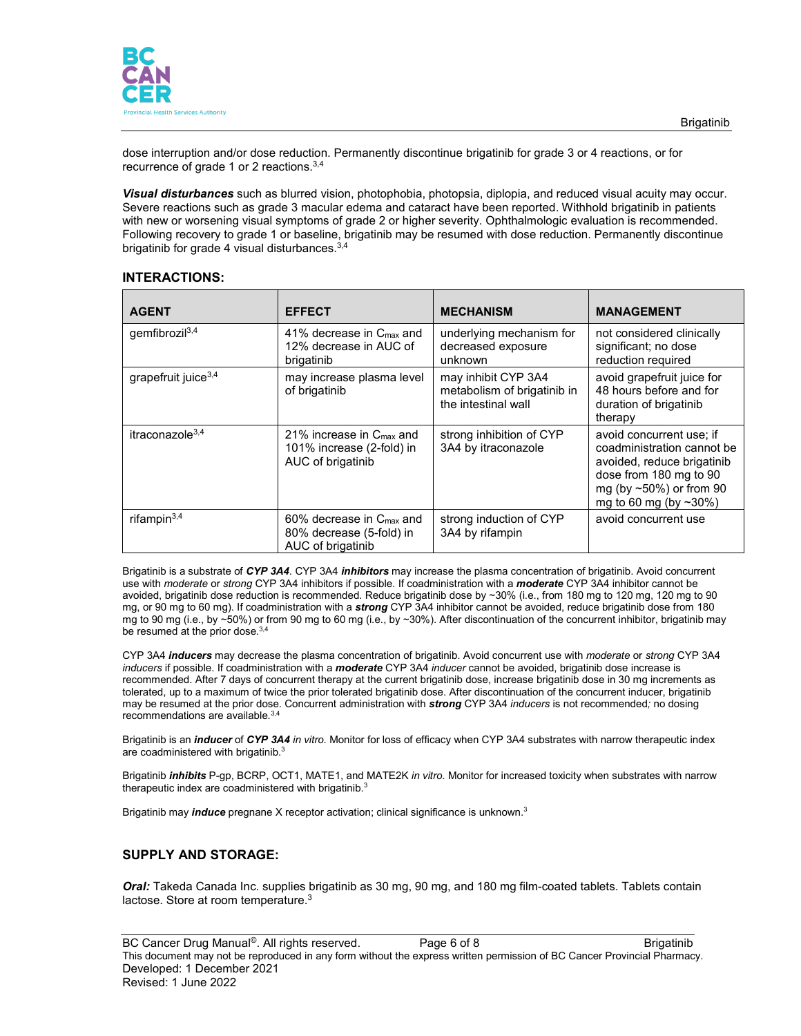

dose interruption and/or dose reduction. Permanently discontinue brigatinib for grade 3 or 4 reactions, or for recurrence of grade 1 or 2 reactions.3,4

*Visual disturbances* such as blurred vision, photophobia, photopsia, diplopia, and reduced visual acuity may occur. Severe reactions such as grade 3 macular edema and cataract have been reported. Withhold brigatinib in patients with new or worsening visual symptoms of grade 2 or higher severity. Ophthalmologic evaluation is recommended. Following recovery to grade 1 or baseline, brigatinib may be resumed with dose reduction. Permanently discontinue brigatinib for grade 4 visual disturbances.3,4

### **INTERACTIONS:**

| <b>AGENT</b>            | <b>EFFECT</b>                                                                          | <b>MECHANISM</b>                                                          | <b>MANAGEMENT</b>                                                                                                                                                      |
|-------------------------|----------------------------------------------------------------------------------------|---------------------------------------------------------------------------|------------------------------------------------------------------------------------------------------------------------------------------------------------------------|
| gemfibrozi $3,4$        | 41% decrease in $C_{\text{max}}$ and<br>12% decrease in AUC of<br>brigatinib           | underlying mechanism for<br>decreased exposure<br>unknown                 | not considered clinically<br>significant; no dose<br>reduction required                                                                                                |
| grape fruit juice $3,4$ | may increase plasma level<br>of brigatinib                                             | may inhibit CYP 3A4<br>metabolism of brigatinib in<br>the intestinal wall | avoid grapefruit juice for<br>48 hours before and for<br>duration of brigatinib<br>therapy                                                                             |
| itraconazole $3,4$      | 21% increase in $C_{\text{max}}$ and<br>101% increase (2-fold) in<br>AUC of brigatinib | strong inhibition of CYP<br>3A4 by itraconazole                           | avoid concurrent use; if<br>coadministration cannot be<br>avoided, reduce brigatinib<br>dose from 180 mg to 90<br>mg (by $~50\%$ ) or from 90<br>mg to 60 mg (by ~30%) |
| rifampin $3,4$          | 60% decrease in C <sub>max</sub> and<br>80% decrease (5-fold) in<br>AUC of brigatinib  | strong induction of CYP<br>3A4 by rifampin                                | avoid concurrent use                                                                                                                                                   |

Brigatinib is a substrate of *CYP 3A4*. CYP 3A4 *inhibitors* may increase the plasma concentration of brigatinib. Avoid concurrent use with *moderate* or *strong* CYP 3A4 inhibitors if possible. If coadministration with a *moderate* CYP 3A4 inhibitor cannot be avoided, brigatinib dose reduction is recommended. Reduce brigatinib dose by ~30% (i.e., from 180 mg to 120 mg, 120 mg to 90 mg, or 90 mg to 60 mg). If coadministration with a *strong* CYP 3A4 inhibitor cannot be avoided, reduce brigatinib dose from 180 mg to 90 mg (i.e., by ~50%) or from 90 mg to 60 mg (i.e., by ~30%). After discontinuation of the concurrent inhibitor, brigatinib may be resumed at the prior dose.<sup>3,4</sup>

CYP 3A4 *inducers* may decrease the plasma concentration of brigatinib. Avoid concurrent use with *moderate* or *strong* CYP 3A4 *inducers* if possible. If coadministration with a *moderate* CYP 3A4 *inducer* cannot be avoided, brigatinib dose increase is recommended. After 7 days of concurrent therapy at the current brigatinib dose, increase brigatinib dose in 30 mg increments as tolerated, up to a maximum of twice the prior tolerated brigatinib dose. After discontinuation of the concurrent inducer, brigatinib may be resumed at the prior dose. Concurrent administration with *strong* CYP 3A4 *inducers* is not recommended*;* no dosing recommendations are available*.* 3,4

Brigatinib is an *inducer* of *CYP 3A4 in vitro.* Monitor for loss of efficacy when CYP 3A4 substrates with narrow therapeutic index are coadministered with brigatinib.<sup>3</sup>

Brigatinib *inhibits* P-gp, BCRP, OCT1, MATE1, and MATE2K *in vitro*. Monitor for increased toxicity when substrates with narrow therapeutic index are coadministered with brigatinib.<sup>3</sup>

Brigatinib may *induce* pregnane X receptor activation; clinical significance is unknown.3

# **SUPPLY AND STORAGE:**

*Oral:* Takeda Canada Inc. supplies brigatinib as 30 mg, 90 mg, and 180 mg film-coated tablets. Tablets contain lactose. Store at room temperature.<sup>3</sup>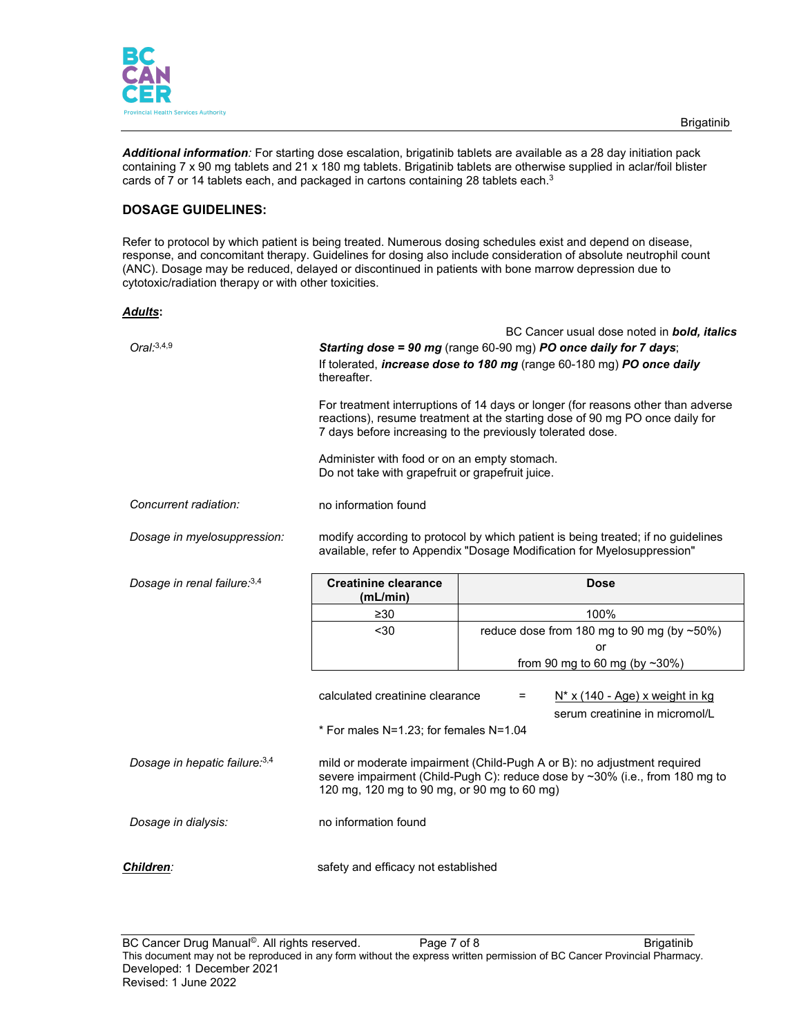

*Additional information:* For starting dose escalation, brigatinib tablets are available as a 28 day initiation pack containing 7 x 90 mg tablets and 21 x 180 mg tablets. Brigatinib tablets are otherwise supplied in aclar/foil blister cards of 7 or 14 tablets each, and packaged in cartons containing 28 tablets each. $^3$ 

### **DOSAGE GUIDELINES:**

Refer to protocol by which patient is being treated. Numerous dosing schedules exist and depend on disease, response, and concomitant therapy. Guidelines for dosing also include consideration of absolute neutrophil count (ANC). Dosage may be reduced, delayed or discontinued in patients with bone marrow depression due to cytotoxic/radiation therapy or with other toxicities.

#### *Adults***:**

| Oral:3,4,9                     | BC Cancer usual dose noted in <b>bold, italics</b><br>Starting dose = 90 mg (range 60-90 mg) PO once daily for 7 days;<br>If tolerated, <i>increase dose to 180 mg</i> (range 60-180 mg) PO once daily<br>thereafter.          |                                                                                                  |                                                                      |  |
|--------------------------------|--------------------------------------------------------------------------------------------------------------------------------------------------------------------------------------------------------------------------------|--------------------------------------------------------------------------------------------------|----------------------------------------------------------------------|--|
|                                | For treatment interruptions of 14 days or longer (for reasons other than adverse<br>reactions), resume treatment at the starting dose of 90 mg PO once daily for<br>7 days before increasing to the previously tolerated dose. |                                                                                                  |                                                                      |  |
|                                |                                                                                                                                                                                                                                | Administer with food or on an empty stomach.<br>Do not take with grapefruit or grapefruit juice. |                                                                      |  |
| Concurrent radiation:          | no information found                                                                                                                                                                                                           |                                                                                                  |                                                                      |  |
| Dosage in myelosuppression:    | modify according to protocol by which patient is being treated; if no guidelines<br>available, refer to Appendix "Dosage Modification for Myelosuppression"                                                                    |                                                                                                  |                                                                      |  |
| Dosage in renal failure: 3,4   | <b>Creatinine clearance</b><br>(mL/min)                                                                                                                                                                                        | <b>Dose</b>                                                                                      |                                                                      |  |
|                                | $\geq 30$                                                                                                                                                                                                                      |                                                                                                  | 100%                                                                 |  |
|                                | $30$                                                                                                                                                                                                                           |                                                                                                  | reduce dose from 180 mg to 90 mg (by ~50%)                           |  |
|                                | or                                                                                                                                                                                                                             |                                                                                                  |                                                                      |  |
|                                | from 90 mg to 60 mg (by $\sim$ 30%)                                                                                                                                                                                            |                                                                                                  |                                                                      |  |
|                                | calculated creatinine clearance<br>* For males N=1.23; for females N=1.04                                                                                                                                                      | =                                                                                                | $N^*$ x (140 - Age) x weight in kg<br>serum creatinine in micromol/L |  |
| Dosage in hepatic failure: 3,4 | mild or moderate impairment (Child-Pugh A or B): no adjustment required<br>severe impairment (Child-Pugh C): reduce dose by ~30% (i.e., from 180 mg to<br>120 mg, 120 mg to 90 mg, or 90 mg to 60 mg)                          |                                                                                                  |                                                                      |  |
| Dosage in dialysis:            | no information found                                                                                                                                                                                                           |                                                                                                  |                                                                      |  |
| <b>Children:</b>               | safety and efficacy not established                                                                                                                                                                                            |                                                                                                  |                                                                      |  |